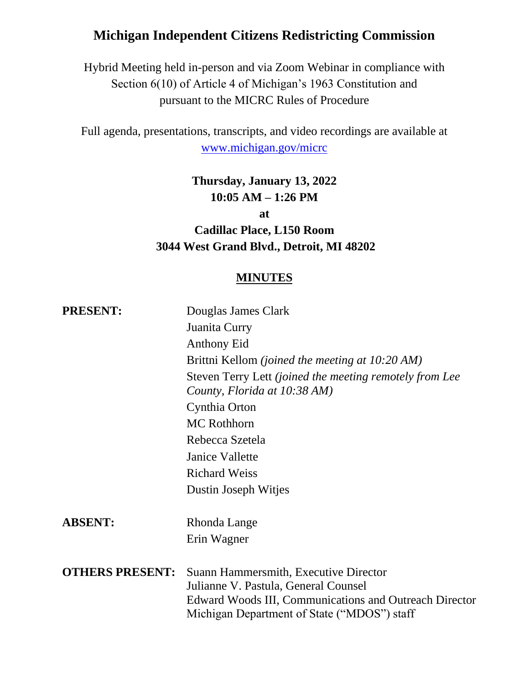# **Michigan Independent Citizens Redistricting Commission**

Hybrid Meeting held in-person and via Zoom Webinar in compliance with Section 6(10) of Article 4 of Michigan's 1963 Constitution and pursuant to the MICRC Rules of Procedure

Full agenda, presentations, transcripts, and video recordings are available at [www.michigan.gov/micrc](http://www.michigan.gov/micrc)

# **Thursday, January 13, 2022 10:05 AM – 1:26 PM**

**at**

# **Cadillac Place, L150 Room 3044 West Grand Blvd., Detroit, MI 48202**

#### **MINUTES**

| <b>PRESENT:</b>        | Douglas James Clark                                                                                                                                                                    |
|------------------------|----------------------------------------------------------------------------------------------------------------------------------------------------------------------------------------|
|                        | Juanita Curry                                                                                                                                                                          |
|                        | <b>Anthony Eid</b>                                                                                                                                                                     |
|                        | Brittni Kellom <i>(joined the meeting at 10:20 AM)</i>                                                                                                                                 |
|                        | Steven Terry Lett (joined the meeting remotely from Lee<br>County, Florida at 10:38 AM)                                                                                                |
|                        | Cynthia Orton                                                                                                                                                                          |
|                        | <b>MC</b> Rothhorn                                                                                                                                                                     |
|                        | Rebecca Szetela                                                                                                                                                                        |
|                        | Janice Vallette                                                                                                                                                                        |
|                        | <b>Richard Weiss</b>                                                                                                                                                                   |
|                        | Dustin Joseph Witjes                                                                                                                                                                   |
| <b>ABSENT:</b>         | Rhonda Lange                                                                                                                                                                           |
|                        | Erin Wagner                                                                                                                                                                            |
| <b>OTHERS PRESENT:</b> | Suann Hammersmith, Executive Director<br>Julianne V. Pastula, General Counsel<br>Edward Woods III, Communications and Outreach Director<br>Michigan Department of State ("MDOS") staff |
|                        |                                                                                                                                                                                        |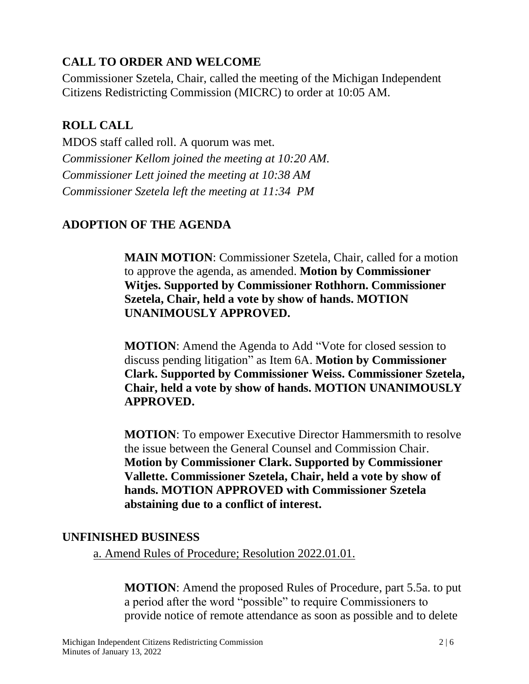# **CALL TO ORDER AND WELCOME**

Commissioner Szetela, Chair, called the meeting of the Michigan Independent Citizens Redistricting Commission (MICRC) to order at 10:05 AM.

## **ROLL CALL**

MDOS staff called roll. A quorum was met. *Commissioner Kellom joined the meeting at 10:20 AM. Commissioner Lett joined the meeting at 10:38 AM Commissioner Szetela left the meeting at 11:34 PM*

# **ADOPTION OF THE AGENDA**

**MAIN MOTION**: Commissioner Szetela, Chair, called for a motion to approve the agenda, as amended. **Motion by Commissioner Witjes. Supported by Commissioner Rothhorn. Commissioner Szetela, Chair, held a vote by show of hands. MOTION UNANIMOUSLY APPROVED.**

**MOTION**: Amend the Agenda to Add "Vote for closed session to discuss pending litigation" as Item 6A. **Motion by Commissioner Clark. Supported by Commissioner Weiss. Commissioner Szetela, Chair, held a vote by show of hands. MOTION UNANIMOUSLY APPROVED.**

**MOTION**: To empower Executive Director Hammersmith to resolve the issue between the General Counsel and Commission Chair. **Motion by Commissioner Clark. Supported by Commissioner Vallette. Commissioner Szetela, Chair, held a vote by show of hands. MOTION APPROVED with Commissioner Szetela abstaining due to a conflict of interest.**

#### **UNFINISHED BUSINESS**

a. Amend Rules of Procedure; Resolution 2022.01.01.

**MOTION**: Amend the proposed Rules of Procedure, part 5.5a. to put a period after the word "possible" to require Commissioners to provide notice of remote attendance as soon as possible and to delete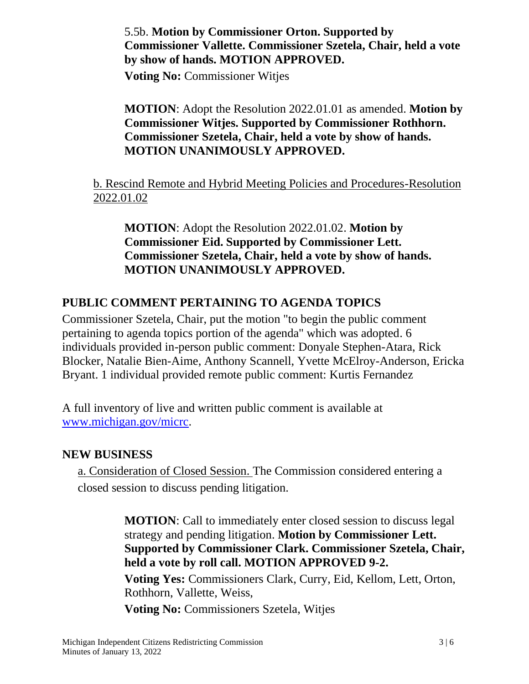#### 5.5b. **Motion by Commissioner Orton. Supported by Commissioner Vallette. Commissioner Szetela, Chair, held a vote by show of hands. MOTION APPROVED.**

**Voting No:** Commissioner Witjes

## **MOTION**: Adopt the Resolution 2022.01.01 as amended. **Motion by Commissioner Witjes. Supported by Commissioner Rothhorn. Commissioner Szetela, Chair, held a vote by show of hands. MOTION UNANIMOUSLY APPROVED.**

## b. Rescind Remote and Hybrid Meeting Policies and Procedures-Resolution 2022.01.02

**MOTION**: Adopt the Resolution 2022.01.02. **Motion by Commissioner Eid. Supported by Commissioner Lett. Commissioner Szetela, Chair, held a vote by show of hands. MOTION UNANIMOUSLY APPROVED.**

# **PUBLIC COMMENT PERTAINING TO AGENDA TOPICS**

Commissioner Szetela, Chair, put the motion "to begin the public comment pertaining to agenda topics portion of the agenda" which was adopted. 6 individuals provided in-person public comment: Donyale Stephen-Atara, Rick Blocker, Natalie Bien-Aime, Anthony Scannell, Yvette McElroy-Anderson, Ericka Bryant. 1 individual provided remote public comment: Kurtis Fernandez

A full inventory of live and written public comment is available at [www.michigan.gov/micrc.](http://www.michigan.gov/micrc)

#### **NEW BUSINESS**

a. Consideration of Closed Session. The Commission considered entering a closed session to discuss pending litigation.

> **MOTION**: Call to immediately enter closed session to discuss legal strategy and pending litigation. **Motion by Commissioner Lett. Supported by Commissioner Clark. Commissioner Szetela, Chair, held a vote by roll call. MOTION APPROVED 9-2.**

**Voting Yes:** Commissioners Clark, Curry, Eid, Kellom, Lett, Orton, Rothhorn, Vallette, Weiss,

**Voting No:** Commissioners Szetela, Witjes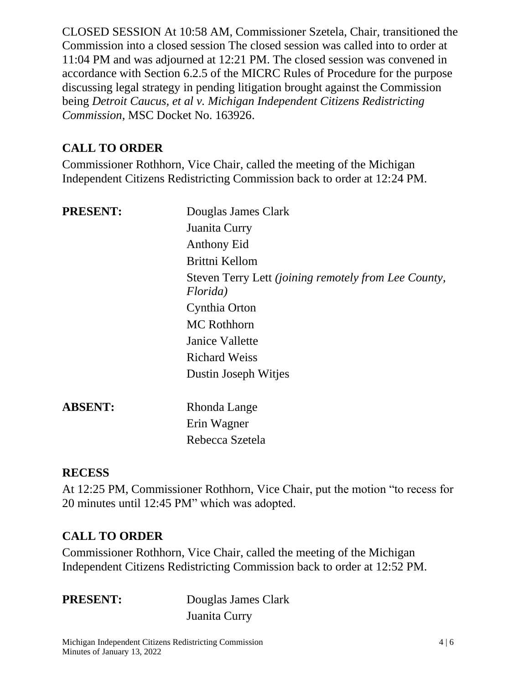CLOSED SESSION At 10:58 AM, Commissioner Szetela, Chair, transitioned the Commission into a closed session The closed session was called into to order at 11:04 PM and was adjourned at 12:21 PM. The closed session was convened in accordance with Section 6.2.5 of the MICRC Rules of Procedure for the purpose discussing legal strategy in pending litigation brought against the Commission being *Detroit Caucus, et al v. Michigan Independent Citizens Redistricting Commission*, MSC Docket No. 163926.

# **CALL TO ORDER**

Commissioner Rothhorn, Vice Chair, called the meeting of the Michigan Independent Citizens Redistricting Commission back to order at 12:24 PM.

| <b>PRESENT:</b> | Douglas James Clark<br>Juanita Curry<br>Anthony Eid                     |
|-----------------|-------------------------------------------------------------------------|
|                 | Brittni Kellom                                                          |
|                 | Steven Terry Lett <i>(joining remotely from Lee County,</i><br>Florida) |
|                 | Cynthia Orton                                                           |
|                 | <b>MC</b> Rothhorn                                                      |
|                 | Janice Vallette                                                         |
|                 | <b>Richard Weiss</b>                                                    |
|                 | Dustin Joseph Witjes                                                    |

**ABSENT:** Rhonda Lange Erin Wagner Rebecca Szetela

#### **RECESS**

At 12:25 PM, Commissioner Rothhorn, Vice Chair, put the motion "to recess for 20 minutes until 12:45 PM" which was adopted.

# **CALL TO ORDER**

Commissioner Rothhorn, Vice Chair, called the meeting of the Michigan Independent Citizens Redistricting Commission back to order at 12:52 PM.

**PRESENT:** Douglas James Clark Juanita Curry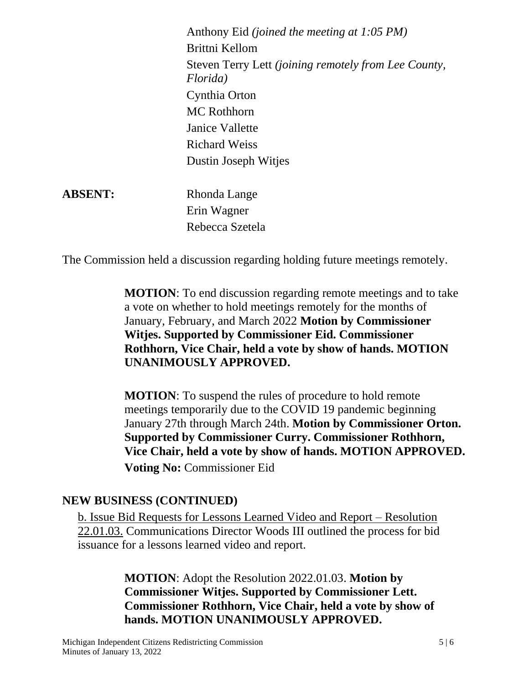Anthony Eid *(joined the meeting at 1:05 PM)* Brittni Kellom Steven Terry Lett *(joining remotely from Lee County, Florida)* Cynthia Orton MC Rothhorn Janice Vallette Richard Weiss Dustin Joseph Witjes

**ABSENT:** Rhonda Lange Erin Wagner Rebecca Szetela

The Commission held a discussion regarding holding future meetings remotely.

**MOTION**: To end discussion regarding remote meetings and to take a vote on whether to hold meetings remotely for the months of January, February, and March 2022 **Motion by Commissioner Witjes. Supported by Commissioner Eid. Commissioner Rothhorn, Vice Chair, held a vote by show of hands. MOTION UNANIMOUSLY APPROVED.**

**MOTION**: To suspend the rules of procedure to hold remote meetings temporarily due to the COVID 19 pandemic beginning January 27th through March 24th. **Motion by Commissioner Orton. Supported by Commissioner Curry. Commissioner Rothhorn, Vice Chair, held a vote by show of hands. MOTION APPROVED. Voting No:** Commissioner Eid

#### **NEW BUSINESS (CONTINUED)**

b. Issue Bid Requests for Lessons Learned Video and Report – Resolution 22.01.03. Communications Director Woods III outlined the process for bid issuance for a lessons learned video and report.

> **MOTION**: Adopt the Resolution 2022.01.03. **Motion by Commissioner Witjes. Supported by Commissioner Lett. Commissioner Rothhorn, Vice Chair, held a vote by show of hands. MOTION UNANIMOUSLY APPROVED.**